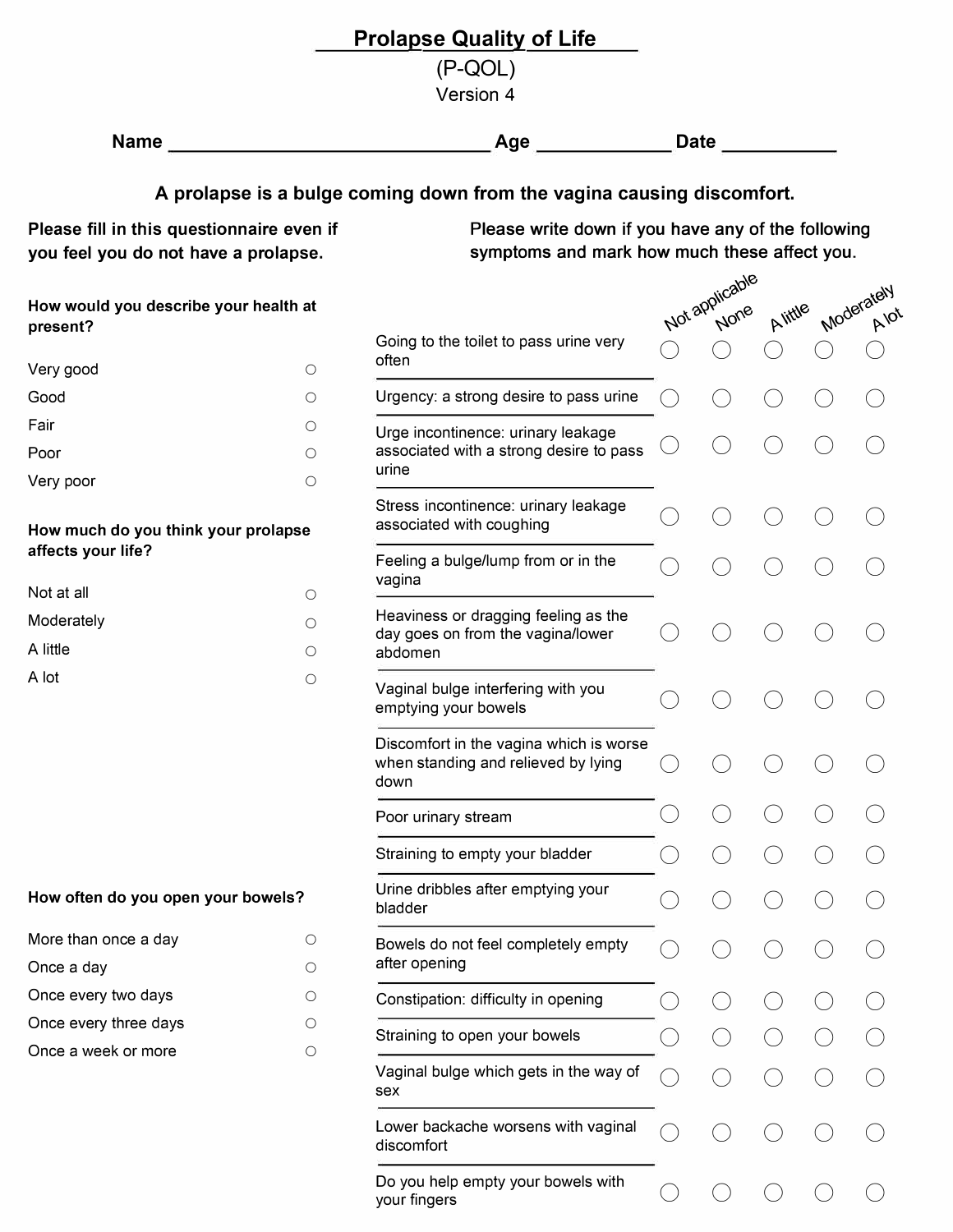|                                                                                   |            | <b>Prolapse Quality of Life</b>                                                                    |                |         |            |
|-----------------------------------------------------------------------------------|------------|----------------------------------------------------------------------------------------------------|----------------|---------|------------|
|                                                                                   |            | $(P-QOL)$<br>Version 4                                                                             |                |         |            |
| <b>Name</b>                                                                       |            | $\left\lfloor \mathbf{Age} \right\rfloor$                                                          | Date           |         |            |
|                                                                                   |            | A prolapse is a bulge coming down from the vagina causing discomfort.                              |                |         |            |
| Please fill in this questionnaire even if<br>you feel you do not have a prolapse. |            | Please write down if you have any of the following<br>symptoms and mark how much these affect you. |                |         |            |
| How would you describe your health at                                             |            |                                                                                                    | Not applicable | Alittle | Moderately |
| present?                                                                          |            | Going to the toilet to pass urine very<br>often                                                    |                |         |            |
| Very good<br>Good                                                                 | $\circ$    | Urgency: a strong desire to pass urine                                                             |                |         |            |
| Fair                                                                              | O<br>О     |                                                                                                    |                |         |            |
| Poor                                                                              | О          | Urge incontinence: urinary leakage<br>associated with a strong desire to pass                      |                |         |            |
| Very poor                                                                         | $\circ$    | urine                                                                                              |                |         |            |
| How much do you think your prolapse                                               |            | Stress incontinence: urinary leakage<br>associated with coughing                                   |                |         |            |
| affects your life?                                                                |            | Feeling a bulge/lump from or in the<br>vagina                                                      |                |         |            |
| Not at all                                                                        | $\circ$    | Heaviness or dragging feeling as the                                                               |                |         |            |
| Moderately<br>A little                                                            | O<br>O     | day goes on from the vagina/lower<br>abdomen                                                       |                |         |            |
| A lot                                                                             | $\circ$    | Vaginal bulge interfering with you<br>emptying your bowels                                         |                |         |            |
|                                                                                   |            | Discomfort in the vagina which is worse<br>when standing and relieved by lying<br>down             |                |         |            |
|                                                                                   |            | Poor urinary stream                                                                                |                |         |            |
|                                                                                   |            | Straining to empty your bladder                                                                    |                |         |            |
| How often do you open your bowels?                                                |            | Urine dribbles after emptying your<br>bladder                                                      |                |         |            |
| More than once a day<br>Once a day                                                | О<br>О     | Bowels do not feel completely empty<br>after opening                                               |                |         |            |
| Once every two days                                                               | О          | Constipation: difficulty in opening                                                                |                |         |            |
| Once every three days                                                             | О          | Straining to open your bowels                                                                      |                |         |            |
| Once a week or more                                                               | $\bigcirc$ | Vaginal bulge which gets in the way of<br>sex                                                      |                |         |            |
|                                                                                   |            | Lower backache worsens with vaginal<br>discomfort                                                  |                |         |            |
|                                                                                   |            | Do you help empty your bowels with<br>your fingers                                                 |                |         |            |